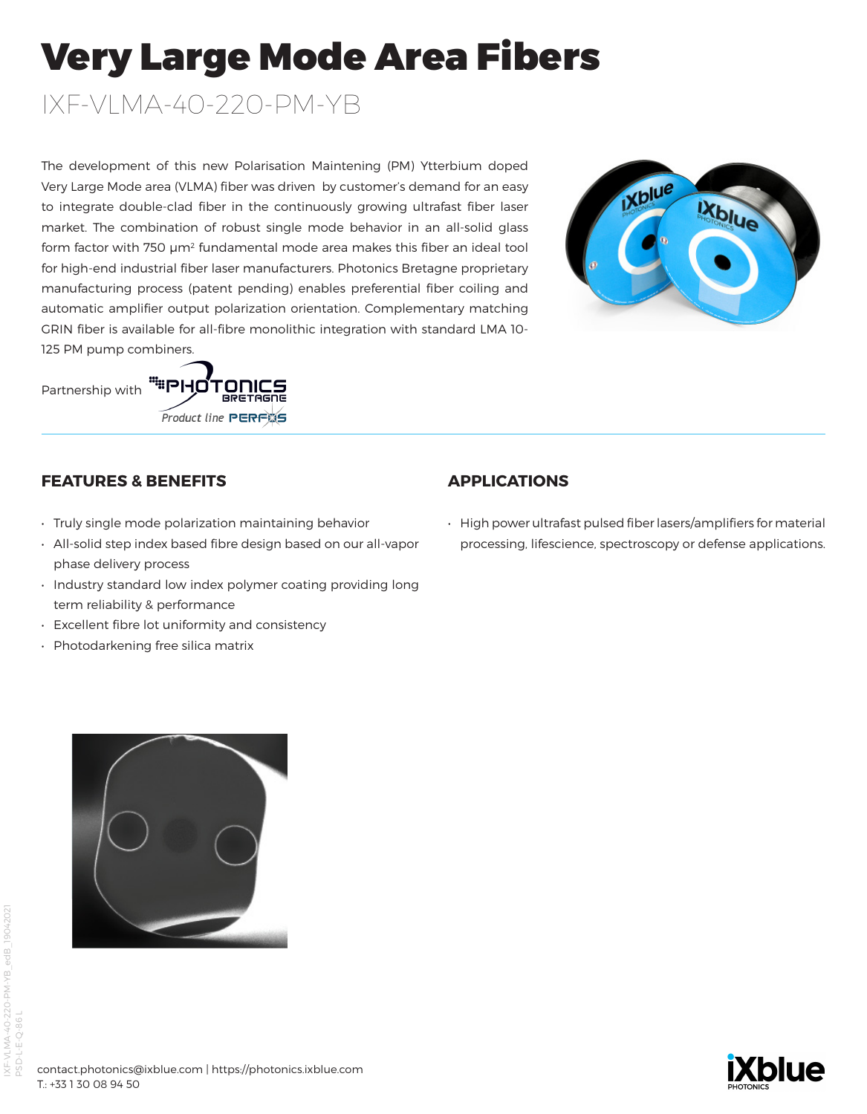# Very Large Mode Area Fibers

IXF-VLMA-40-220-PM-YB

The development of this new Polarisation Maintening (PM) Ytterbium doped Very Large Mode area (VLMA) fiber was driven by customer's demand for an easy to integrate double-clad fiber in the continuously growing ultrafast fiber laser market. The combination of robust single mode behavior in an all-solid glass form factor with 750  $\mu$ m<sup>2</sup> fundamental mode area makes this fiber an ideal tool for high-end industrial fiber laser manufacturers. Photonics Bretagne proprietary manufacturing process (patent pending) enables preferential fiber coiling and automatic amplifier output polarization orientation. Complementary matching GRIN fiber is available for all-fibre monolithic integration with standard LMA 10- 125 PM pump combiners.



Partnership with



## **FEATURES & BENEFITS**

- Truly single mode polarization maintaining behavior
- All-solid step index based fibre design based on our all-vapor phase delivery process
- Industry standard low index polymer coating providing long term reliability & performance
- Excellent fibre lot uniformity and consistency
- Photodarkening free silica matrix

## **APPLICATIONS**

• High power ultrafast pulsed fiber lasers/amplifiers for material processing, lifescience, spectroscopy or defense applications.